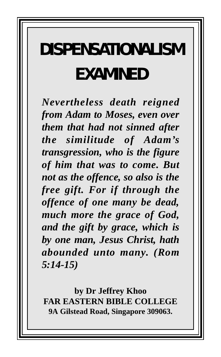# **DISPENSATIONALISM EXAMINED**

*Nevertheless death reigned from Adam to Moses, even over them that had not sinned after the similitude of Adam's transgression, who is the figure of him that was to come. But not as the offence, so also is the free gift. For if through the offence of one many be dead, much more the grace of God, and the gift by grace, which is by one man, Jesus Christ, hath abounded unto many. (Rom 5:14-15)*

**by Dr Jeffrey Khoo FAR EASTERN BIBLE COLLEGE 9A Gilstead Road, Singapore 309063.**

*1*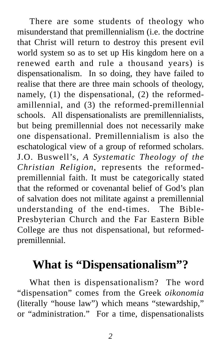There are some students of theology who misunderstand that premillennialism (i.e. the doctrine that Christ will return to destroy this present evil world system so as to set up His kingdom here on a renewed earth and rule a thousand years) is dispensationalism. In so doing, they have failed to realise that there are three main schools of theology, namely, (1) the dispensational, (2) the reformedamillennial, and (3) the reformed-premillennial schools. All dispensationalists are premillennialists, but being premillennial does not necessarily make one dispensational. Premillennialism is also the eschatological view of a group of reformed scholars. J.O. Buswell's, *A Systematic Theology of the Christian Religion*, represents the reformedpremillennial faith. It must be categorically stated that the reformed or covenantal belief of God's plan of salvation does not militate against a premillennial understanding of the end-times. The Bible-Presbyterian Church and the Far Eastern Bible College are thus not dispensational, but reformedpremillennial.

#### **What is "Dispensationalism"?**

What then is dispensationalism? The word "dispensation" comes from the Greek *oikonomia* (literally "house law") which means "stewardship," or "administration." For a time, dispensationalists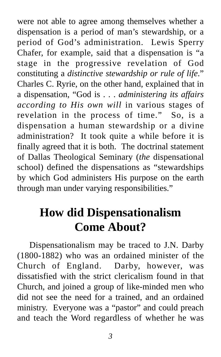were not able to agree among themselves whether a dispensation is a period of man's stewardship, or a period of God's administration. Lewis Sperry Chafer, for example, said that a dispensation is "a stage in the progressive revelation of God constituting a *distinctive stewardship or rule of life*." Charles C. Ryrie, on the other hand, explained that in a dispensation, "God is . . . *administering its affairs according to His own will* in various stages of revelation in the process of time." So, is a dispensation a human stewardship or a divine administration? It took quite a while before it is finally agreed that it is both. The doctrinal statement of Dallas Theological Seminary (*the* dispensational school) defined the dispensations as "stewardships by which God administers His purpose on the earth through man under varying responsibilities."

## **How did Dispensationalism Come About?**

Dispensationalism may be traced to J.N. Darby (1800-1882) who was an ordained minister of the Church of England. Darby, however, was dissatisfied with the strict clericalism found in that Church, and joined a group of like-minded men who did not see the need for a trained, and an ordained ministry. Everyone was a "pastor" and could preach and teach the Word regardless of whether he was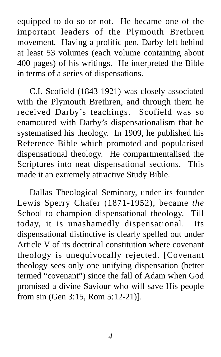equipped to do so or not. He became one of the important leaders of the Plymouth Brethren movement. Having a prolific pen, Darby left behind at least 53 volumes (each volume containing about 400 pages) of his writings. He interpreted the Bible in terms of a series of dispensations.

C.I. Scofield (1843-1921) was closely associated with the Plymouth Brethren, and through them he received Darby's teachings. Scofield was so enamoured with Darby's dispensationalism that he systematised his theology. In 1909, he published his Reference Bible which promoted and popularised dispensational theology. He compartmentalised the Scriptures into neat dispensational sections. This made it an extremely attractive Study Bible.

Dallas Theological Seminary, under its founder Lewis Sperry Chafer (1871-1952), became *the* School to champion dispensational theology. Till today, it is unashamedly dispensational. Its dispensational distinctive is clearly spelled out under Article V of its doctrinal constitution where covenant theology is unequivocally rejected. [Covenant theology sees only one unifying dispensation (better termed "covenant") since the fall of Adam when God promised a divine Saviour who will save His people from sin (Gen 3:15, Rom 5:12-21)].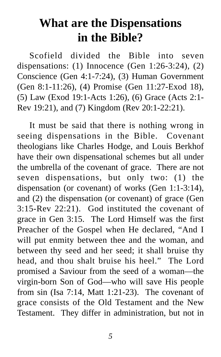### **What are the Dispensations in the Bible?**

Scofield divided the Bible into seven dispensations: (1) Innocence (Gen 1:26-3:24), (2) Conscience (Gen 4:1-7:24), (3) Human Government (Gen 8:1-11:26), (4) Promise (Gen 11:27-Exod 18), (5) Law (Exod 19:1-Acts 1:26), (6) Grace (Acts 2:1- Rev 19:21), and (7) Kingdom (Rev 20:1-22:21).

It must be said that there is nothing wrong in seeing dispensations in the Bible. Covenant theologians like Charles Hodge, and Louis Berkhof have their own dispensational schemes but all under the umbrella of the covenant of grace. There are not seven dispensations, but only two: (1) the dispensation (or covenant) of works (Gen 1:1-3:14), and (2) the dispensation (or covenant) of grace (Gen 3:15-Rev 22:21). God instituted the covenant of grace in Gen 3:15. The Lord Himself was the first Preacher of the Gospel when He declared, "And I will put enmity between thee and the woman, and between thy seed and her seed; it shall bruise thy head, and thou shalt bruise his heel." The Lord promised a Saviour from the seed of a woman—the virgin-born Son of God—who will save His people from sin (Isa 7:14, Matt 1:21-23). The covenant of grace consists of the Old Testament and the New Testament. They differ in administration, but not in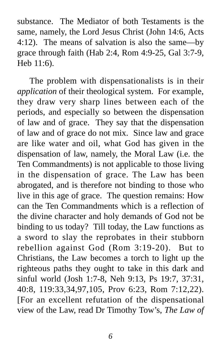substance. The Mediator of both Testaments is the same, namely, the Lord Jesus Christ (John 14:6, Acts 4:12). The means of salvation is also the same—by grace through faith (Hab 2:4, Rom 4:9-25, Gal 3:7-9, Heb 11:6).

The problem with dispensationalists is in their *application* of their theological system. For example, they draw very sharp lines between each of the periods, and especially so between the dispensation of law and of grace. They say that the dispensation of law and of grace do not mix. Since law and grace are like water and oil, what God has given in the dispensation of law, namely, the Moral Law (i.e. the Ten Commandments) is not applicable to those living in the dispensation of grace. The Law has been abrogated, and is therefore not binding to those who live in this age of grace. The question remains: How can the Ten Commandments which is a reflection of the divine character and holy demands of God not be binding to us today? Till today, the Law functions as a sword to slay the reprobates in their stubborn rebellion against God (Rom 3:19-20). But to Christians, the Law becomes a torch to light up the righteous paths they ought to take in this dark and sinful world (Josh 1:7-8, Neh 9:13, Ps 19:7, 37:31, 40:8, 119:33,34,97,105, Prov 6:23, Rom 7:12,22). [For an excellent refutation of the dispensational view of the Law, read Dr Timothy Tow's, *The Law of*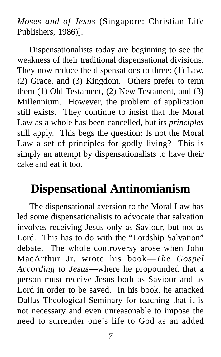*Moses and of Jesus* (Singapore: Christian Life Publishers, 1986)].

Dispensationalists today are beginning to see the weakness of their traditional dispensational divisions. They now reduce the dispensations to three: (1) Law, (2) Grace, and (3) Kingdom. Others prefer to term them (1) Old Testament, (2) New Testament, and (3) Millennium. However, the problem of application still exists. They continue to insist that the Moral Law as a whole has been cancelled, but its *principles* still apply. This begs the question: Is not the Moral Law a set of principles for godly living? This is simply an attempt by dispensationalists to have their cake and eat it too.

#### **Dispensational Antinomianism**

The dispensational aversion to the Moral Law has led some dispensationalists to advocate that salvation involves receiving Jesus only as Saviour, but not as Lord. This has to do with the "Lordship Salvation" debate. The whole controversy arose when John MacArthur Jr. wrote his book—*The Gospel According to Jesus*—where he propounded that a person must receive Jesus both as Saviour and as Lord in order to be saved. In his book, he attacked Dallas Theological Seminary for teaching that it is not necessary and even unreasonable to impose the need to surrender one's life to God as an added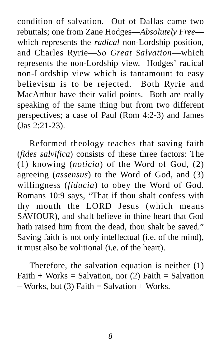condition of salvation. Out ot Dallas came two rebuttals; one from Zane Hodges—*Absolutely Free* which represents the *radical* non-Lordship position, and Charles Ryrie—*So Great Salvation*—which represents the non-Lordship view. Hodges' radical non-Lordship view which is tantamount to easy believism is to be rejected. Both Ryrie and MacArthur have their valid points. Both are really speaking of the same thing but from two different perspectives; a case of Paul (Rom 4:2-3) and James (Jas 2:21-23).

Reformed theology teaches that saving faith (*fides salvifica*) consists of these three factors: The (1) knowing (*noticia*) of the Word of God, (2) agreeing (*assensus*) to the Word of God, and (3) willingness (*fiducia*) to obey the Word of God. Romans 10:9 says, "That if thou shalt confess with thy mouth the LORD Jesus (which means SAVIOUR), and shalt believe in thine heart that God hath raised him from the dead, thou shalt be saved." Saving faith is not only intellectual (i.e. of the mind), it must also be volitional (i.e. of the heart).

Therefore, the salvation equation is neither (1)  $Faith + Works = Salvation, nor (2) Faith = Salvation$  $-$  Works, but (3) Faith  $=$  Salvation  $+$  Works.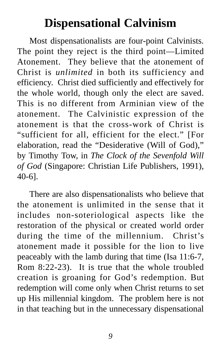## **Dispensational Calvinism**

Most dispensationalists are four-point Calvinists. The point they reject is the third point—Limited Atonement. They believe that the atonement of Christ is *unlimited* in both its sufficiency and efficiency. Christ died sufficiently and effectively for the whole world, though only the elect are saved. This is no different from Arminian view of the atonement. The Calvinistic expression of the atonement is that the cross-work of Christ is "sufficient for all, efficient for the elect." [For elaboration, read the "Desiderative (Will of God)," by Timothy Tow, in *The Clock of the Sevenfold Will of God* (Singapore: Christian Life Publishers, 1991), 40-6].

There are also dispensationalists who believe that the atonement is unlimited in the sense that it includes non-soteriological aspects like the restoration of the physical or created world order during the time of the millennium. Christ's atonement made it possible for the lion to live peaceably with the lamb during that time (Isa 11:6-7, Rom 8:22-23). It is true that the whole troubled creation is groaning for God's redemption. But redemption will come only when Christ returns to set up His millennial kingdom. The problem here is not in that teaching but in the unnecessary dispensational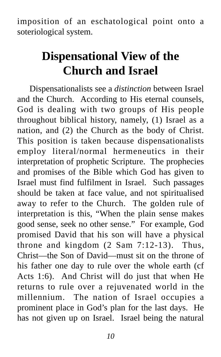imposition of an eschatological point onto a soteriological system.

## **Dispensational View of the Church and Israel**

Dispensationalists see a *distinction* between Israel and the Church. According to His eternal counsels, God is dealing with two groups of His people throughout biblical history, namely, (1) Israel as a nation, and (2) the Church as the body of Christ. This position is taken because dispensationalists employ literal/normal hermeneutics in their interpretation of prophetic Scripture. The prophecies and promises of the Bible which God has given to Israel must find fulfilment in Israel. Such passages should be taken at face value, and not spiritualised away to refer to the Church. The golden rule of interpretation is this, "When the plain sense makes good sense, seek no other sense." For example, God promised David that his son will have a physical throne and kingdom (2 Sam 7:12-13). Thus, Christ—the Son of David—must sit on the throne of his father one day to rule over the whole earth (cf Acts 1:6). And Christ will do just that when He returns to rule over a rejuvenated world in the millennium. The nation of Israel occupies a prominent place in God's plan for the last days. He has not given up on Israel. Israel being the natural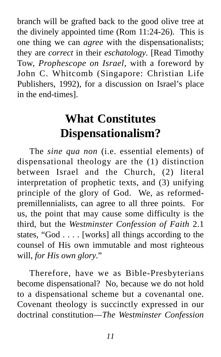branch will be grafted back to the good olive tree at the divinely appointed time (Rom 11:24-26). This is one thing we can *agree* with the dispensationalists; they are *correct* in their *eschatology*. [Read Timothy Tow, *Prophescope on Israel*, with a foreword by John C. Whitcomb (Singapore: Christian Life Publishers, 1992), for a discussion on Israel's place in the end-times].

## **What Constitutes Dispensationalism?**

The *sine qua non* (i.e. essential elements) of dispensational theology are the (1) distinction between Israel and the Church, (2) literal interpretation of prophetic texts, and (3) unifying principle of the glory of God. We, as reformedpremillennialists, can agree to all three points. For us, the point that may cause some difficulty is the third, but the *Westminster Confession of Faith* 2.1 states, "God . . . . [works] all things according to the counsel of His own immutable and most righteous will, *for His own glory*."

Therefore, have we as Bible-Presbyterians become dispensational? No, because we do not hold to a dispensational scheme but a covenantal one. Covenant theology is succinctly expressed in our doctrinal constitution—*The Westminster Confession*